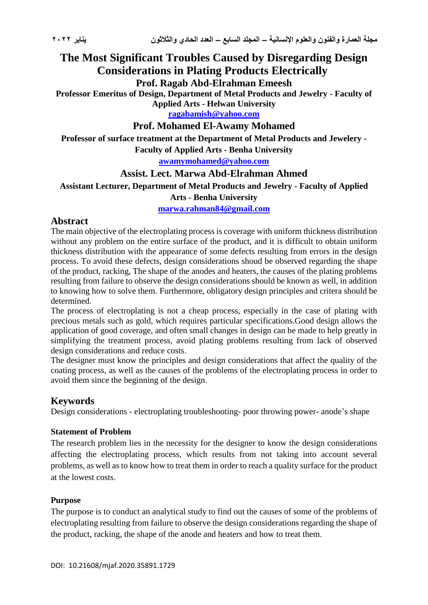# **The Most Significant Troubles Caused by Disregarding Design Considerations in Plating Products Electrically**

**Prof. Ragab Abd-Elrahman Emeesh**

**Professor Emeritus of Design, Department of Metal Products and Jewelry - Faculty of Applied Arts - Helwan University**

**[ragabamish@yahoo.com](mailto:ragabamish@yahoo.com)**

**Prof. Mohamed El-Awamy Mohamed**

**Professor of surface treatment at the Department of Metal Products and Jewelery -**

**Faculty of Applied Arts - Benha University**

#### **[awamymohamed@yahoo.com](mailto:awamymohamed@yahoo.com)**

### **Assist. Lect. Marwa Abd-Elrahman Ahmed**

**Assistant Lecturer, Department of Metal Products and Jewelry - Faculty of Applied** 

#### **Arts - Benha University**

**[marwa.rahman84@gmail.com](mailto:marwa.rahman84@gmail.com)**

### **Abstract**

The main objective of the electroplating process is coverage with uniform thickness distribution without any problem on the entire surface of the product, and it is difficult to obtain uniform thickness distribution with the appearance of some defects resulting from errors in the design process. To avoid these defects, design considerations shoud be observed regarding the shape of the product, racking, The shape of the anodes and heaters, the causes of the plating problems resulting from failure to observe the design considerations should be known as well, in addition to knowing how to solve them. Furthermore, obligatory design principles and critera should be determined.

The process of electroplating is not a cheap process, especially in the case of plating with precious metals such as gold, which requires particular specifications.Good design allows the application of good coverage, and often small changes in design can be made to help greatly in simplifying the treatment process, avoid plating problems resulting from lack of observed design considerations and reduce costs.

The designer must know the principles and design considerations that affect the quality of the coating process, as well as the causes of the problems of the electroplating process in order to avoid them since the beginning of the design.

### **Keywords**

Design considerations - electroplating troubleshooting- poor throwing power- anode's shape

#### **Statement of Problem**

The research problem lies in the necessity for the designer to know the design considerations affecting the electroplating process, which results from not taking into account several problems, as well as to know how to treat them in order to reach a quality surface for the product at the lowest costs.

### **Purpose**

The purpose is to conduct an analytical study to find out the causes of some of the problems of electroplating resulting from failure to observe the design considerations regarding the shape of the product, racking, the shape of the anode and heaters and how to treat them.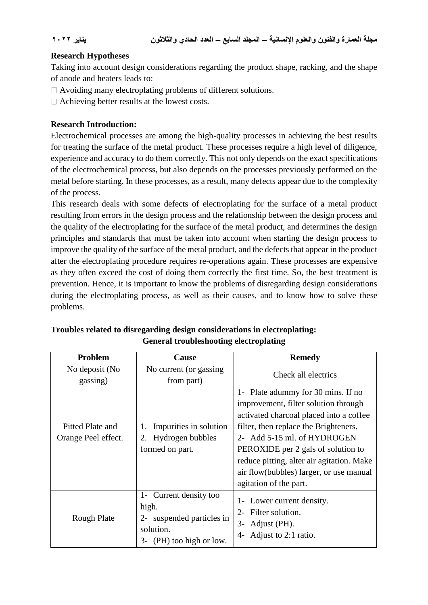#### **Research Hypotheses**

Taking into account design considerations regarding the product shape, racking, and the shape of anode and heaters leads to:

- Avoiding many electroplating problems of different solutions.
- Achieving better results at the lowest costs.

#### **Research Introduction:**

Electrochemical processes are among the high-quality processes in achieving the best results for treating the surface of the metal product. These processes require a high level of diligence, experience and accuracy to do them correctly. This not only depends on the exact specifications of the electrochemical process, but also depends on the processes previously performed on the metal before starting. In these processes, as a result, many defects appear due to the complexity of the process.

This research deals with some defects of electroplating for the surface of a metal product resulting from errors in the design process and the relationship between the design process and the quality of the electroplating for the surface of the metal product, and determines the design principles and standards that must be taken into account when starting the design process to improve the quality of the surface of the metal product, and the defects that appear in the product after the electroplating procedure requires re-operations again. These processes are expensive as they often exceed the cost of doing them correctly the first time. So, the best treatment is prevention. Hence, it is important to know the problems of disregarding design considerations during the electroplating process, as well as their causes, and to know how to solve these problems.

| <b>Problem</b>                          | <b>Cause</b>                                                                                                | <b>Remedy</b>                                                                                                                                                                                                                                                                                                                                         |
|-----------------------------------------|-------------------------------------------------------------------------------------------------------------|-------------------------------------------------------------------------------------------------------------------------------------------------------------------------------------------------------------------------------------------------------------------------------------------------------------------------------------------------------|
| No deposit (No<br>gassing)              | No current (or gassing<br>from part)                                                                        | Check all electrics                                                                                                                                                                                                                                                                                                                                   |
| Pitted Plate and<br>Orange Peel effect. | Impurities in solution<br>1.<br>2. Hydrogen bubbles<br>formed on part.                                      | 1- Plate adummy for 30 mins. If no<br>improvement, filter solution through<br>activated charcoal placed into a coffee<br>filter, then replace the Brighteners.<br>2- Add 5-15 ml. of HYDROGEN<br>PEROXIDE per 2 gals of solution to<br>reduce pitting, alter air agitation. Make<br>air flow(bubbles) larger, or use manual<br>agitation of the part. |
| Rough Plate                             | 1- Current density too<br>high.<br>suspended particles in<br>$2 -$<br>solution.<br>3- (PH) too high or low. | 1- Lower current density.<br>2- Filter solution.<br>$3-$<br>Adjust (PH).<br>Adjust to 2:1 ratio.<br>4-                                                                                                                                                                                                                                                |

#### **Troubles related to disregarding design considerations in electroplating: General troubleshooting electroplating**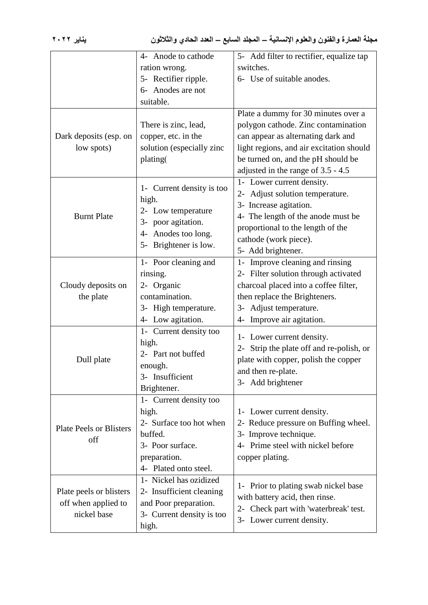|                                       | 4- Anode to cathode                       | 5- Add filter to rectifier, equalize tap |
|---------------------------------------|-------------------------------------------|------------------------------------------|
|                                       | ration wrong.                             | switches.                                |
|                                       | 5- Rectifier ripple.                      | 6- Use of suitable anodes.               |
|                                       | 6- Anodes are not                         |                                          |
|                                       | suitable.                                 |                                          |
|                                       |                                           | Plate a dummy for 30 minutes over a      |
|                                       | There is zinc, lead,                      | polygon cathode. Zinc contamination      |
| Dark deposits (esp. on                | copper, etc. in the                       | can appear as alternating dark and       |
| low spots)                            | solution (especially zinc                 | light regions, and air excitation should |
|                                       | plating(                                  | be turned on, and the pH should be       |
|                                       |                                           | adjusted in the range of 3.5 - 4.5       |
|                                       |                                           | 1- Lower current density.                |
|                                       | 1- Current density is too                 | 2- Adjust solution temperature.          |
|                                       | high.                                     | 3- Increase agitation.                   |
| <b>Burnt Plate</b>                    | 2- Low temperature                        | 4- The length of the anode must be       |
|                                       | 3- poor agitation.<br>4- Anodes too long. | proportional to the length of the        |
|                                       |                                           | cathode (work piece).                    |
|                                       | 5- Brightener is low.                     | 5- Add brightener.                       |
|                                       | 1- Poor cleaning and                      | 1- Improve cleaning and rinsing          |
|                                       | rinsing.                                  | 2- Filter solution through activated     |
| Cloudy deposits on                    | 2- Organic                                | charcoal placed into a coffee filter,    |
| the plate                             | contamination.                            | then replace the Brighteners.            |
|                                       | 3- High temperature.                      | 3- Adjust temperature.                   |
|                                       | 4- Low agitation.                         | 4- Improve air agitation.                |
|                                       | 1- Current density too                    |                                          |
|                                       | high.                                     | 1- Lower current density.                |
|                                       | 2- Part not buffed                        | 2- Strip the plate off and re-polish, or |
| Dull plate                            | enough.                                   | plate with copper, polish the copper     |
|                                       | 3- Insufficient                           | and then re-plate.                       |
|                                       | Brightener.                               | 3- Add brightener                        |
|                                       | 1- Current density too                    |                                          |
| <b>Plate Peels or Blisters</b><br>off | high.                                     | 1- Lower current density.                |
|                                       | 2- Surface too hot when                   | 2- Reduce pressure on Buffing wheel.     |
|                                       | buffed.                                   | 3- Improve technique.                    |
|                                       | 3- Poor surface.                          | 4- Prime steel with nickel before        |
|                                       | preparation.                              | copper plating.                          |
|                                       | 4- Plated onto steel.                     |                                          |
| Plate peels or blisters               | 1- Nickel has ozidized                    |                                          |
|                                       | 2- Insufficient cleaning                  | 1- Prior to plating swab nickel base     |
| off when applied to                   | and Poor preparation.                     | with battery acid, then rinse.           |
| nickel base                           | 3- Current density is too                 | 2- Check part with 'waterbreak' test.    |
|                                       | high.                                     | 3- Lower current density.                |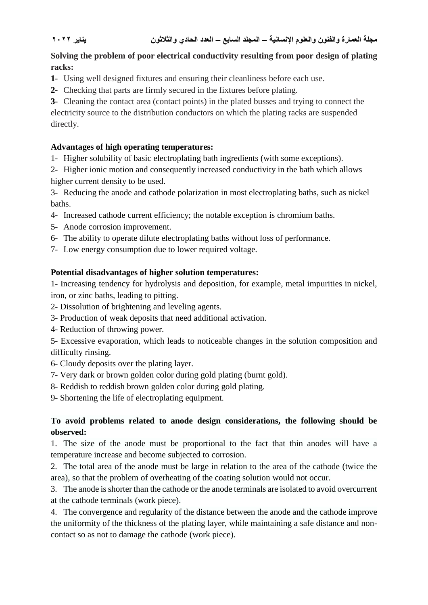**مجلة العمارة والفنون والعلوم اإلنسانية – المجلد السابع – العدد الحادي والثالثون يناير 2022**

### **Solving the problem of poor electrical conductivity resulting from poor design of plating racks:**

- **1-** Using well designed fixtures and ensuring their cleanliness before each use.
- **2-** Checking that parts are firmly secured in the fixtures before plating.

**3-** Cleaning the contact area (contact points) in the plated busses and trying to connect the electricity source to the distribution conductors on which the plating racks are suspended directly.

### **Advantages of high operating temperatures:**

- 1- Higher solubility of basic electroplating bath ingredients (with some exceptions).
- 2- Higher ionic motion and consequently increased conductivity in the bath which allows higher current density to be used.

3- Reducing the anode and cathode polarization in most electroplating baths, such as nickel baths.

- 4- Increased cathode current efficiency; the notable exception is chromium baths.
- 5- Anode corrosion improvement.
- 6- The ability to operate dilute electroplating baths without loss of performance.
- 7- Low energy consumption due to lower required voltage.

# **Potential disadvantages of higher solution temperatures:**

1- Increasing tendency for hydrolysis and deposition, for example, metal impurities in nickel, iron, or zinc baths, leading to pitting.

- 2- Dissolution of brightening and leveling agents.
- 3- Production of weak deposits that need additional activation.
- 4- Reduction of throwing power.
- 5- Excessive evaporation, which leads to noticeable changes in the solution composition and difficulty rinsing.
- 6- Cloudy deposits over the plating layer.
- 7- Very dark or brown golden color during gold plating (burnt gold).
- 8- Reddish to reddish brown golden color during gold plating.
- 9- Shortening the life of electroplating equipment.

# **To avoid problems related to anode design considerations, the following should be observed:**

1. The size of the anode must be proportional to the fact that thin anodes will have a temperature increase and become subjected to corrosion.

2. The total area of the anode must be large in relation to the area of the cathode (twice the area), so that the problem of overheating of the coating solution would not occur.

3. The anode is shorter than the cathode or the anode terminals are isolated to avoid overcurrent at the cathode terminals (work piece).

4. The convergence and regularity of the distance between the anode and the cathode improve the uniformity of the thickness of the plating layer, while maintaining a safe distance and noncontact so as not to damage the cathode (work piece).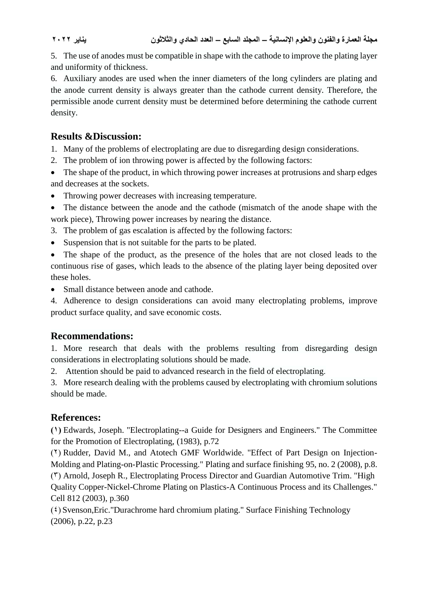**مجلة العمارة والفنون والعلوم اإلنسانية – المجلد السابع – العدد الحادي والثالثون يناير 2022**

5. The use of anodes must be compatible in shape with the cathode to improve the plating layer and uniformity of thickness.

6. Auxiliary anodes are used when the inner diameters of the long cylinders are plating and the anode current density is always greater than the cathode current density. Therefore, the permissible anode current density must be determined before determining the cathode current density.

# **Results &Discussion:**

1. Many of the problems of electroplating are due to disregarding design considerations.

- 2. The problem of ion throwing power is affected by the following factors:
- The shape of the product, in which throwing power increases at protrusions and sharp edges and decreases at the sockets.
- Throwing power decreases with increasing temperature.
- The distance between the anode and the cathode (mismatch of the anode shape with the work piece), Throwing power increases by nearing the distance.
- 3. The problem of gas escalation is affected by the following factors:
- Suspension that is not suitable for the parts to be plated.

• The shape of the product, as the presence of the holes that are not closed leads to the continuous rise of gases, which leads to the absence of the plating layer being deposited over these holes.

• Small distance between anode and cathode.

4. Adherence to design considerations can avoid many electroplating problems, improve product surface quality, and save economic costs.

# **Recommendations:**

1. More research that deals with the problems resulting from disregarding design considerations in electroplating solutions should be made.

2. Attention should be paid to advanced research in the field of electroplating.

3. More research dealing with the problems caused by electroplating with chromium solutions should be made.

# **References:**

**)1(** Edwards, Joseph. "Electroplating--a Guide for Designers and Engineers." The Committee for the Promotion of Electroplating, (1983), p.72

 $(7)$  Rudder, David M., and Atotech GMF Worldwide. "Effect of Part Design on Injection-Molding and Plating-on-Plastic Processing." Plating and surface finishing 95, no. 2 (2008), p.8.  $(5)$  Arnold, Joseph R., Electroplating Process Director and Guardian Automotive Trim. "High Quality Copper-Nickel-Chrome Plating on Plastics-A Continuous Process and its Challenges." Cell 812 (2003), p.360

 $(3)$  Svenson, Eric. "Durachrome hard chromium plating." Surface Finishing Technology (2006), p.22, p.23